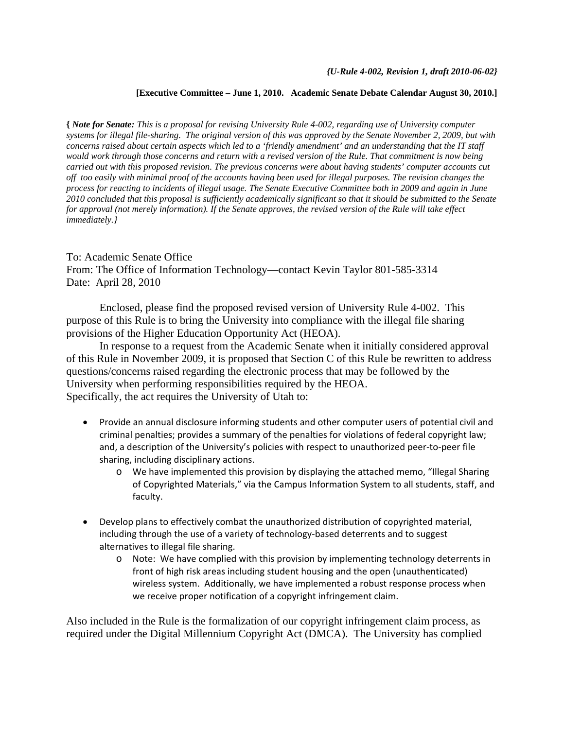## **[Executive Committee – June 1, 2010. Academic Senate Debate Calendar August 30, 2010.]**

**{** *Note for Senate: This is a proposal for revising University Rule 4-002, regarding use of University computer systems for illegal file-sharing. The original version of this was approved by the Senate November 2, 2009, but with concerns raised about certain aspects which led to a 'friendly amendment' and an understanding that the IT staff would work through those concerns and return with a revised version of the Rule. That commitment is now being carried out with this proposed revision. The previous concerns were about having students' computer accounts cut off too easily with minimal proof of the accounts having been used for illegal purposes. The revision changes the process for reacting to incidents of illegal usage. The Senate Executive Committee both in 2009 and again in June 2010 concluded that this proposal is sufficiently academically significant so that it should be submitted to the Senate for approval (not merely information). If the Senate approves, the revised version of the Rule will take effect immediately.}*

To: Academic Senate Office From: The Office of Information Technology—contact Kevin Taylor 801-585-3314 Date: April 28, 2010

 Enclosed, please find the proposed revised version of University Rule 4-002. This purpose of this Rule is to bring the University into compliance with the illegal file sharing provisions of the Higher Education Opportunity Act (HEOA).

 In response to a request from the Academic Senate when it initially considered approval of this Rule in November 2009, it is proposed that Section C of this Rule be rewritten to address questions/concerns raised regarding the electronic process that may be followed by the University when performing responsibilities required by the HEOA. Specifically, the act requires the University of Utah to:

- Provide an annual disclosure informing students and other computer users of potential civil and criminal penalties; provides a summary of the penalties for violations of federal copyright law; and, a description of the University's policies with respect to unauthorized peer-to-peer file sharing, including disciplinary actions.
	- o We have implemented this provision by displaying the attached memo, "Illegal Sharing of Copyrighted Materials," via the Campus Information System to all students, staff, and faculty.
- Develop plans to effectively combat the unauthorized distribution of copyrighted material, including through the use of a variety of technology-based deterrents and to suggest alternatives to illegal file sharing.
	- o Note: We have complied with this provision by implementing technology deterrents in front of high risk areas including student housing and the open (unauthenticated) wireless system. Additionally, we have implemented a robust response process when we receive proper notification of a copyright infringement claim.

Also included in the Rule is the formalization of our copyright infringement claim process, as required under the Digital Millennium Copyright Act (DMCA). The University has complied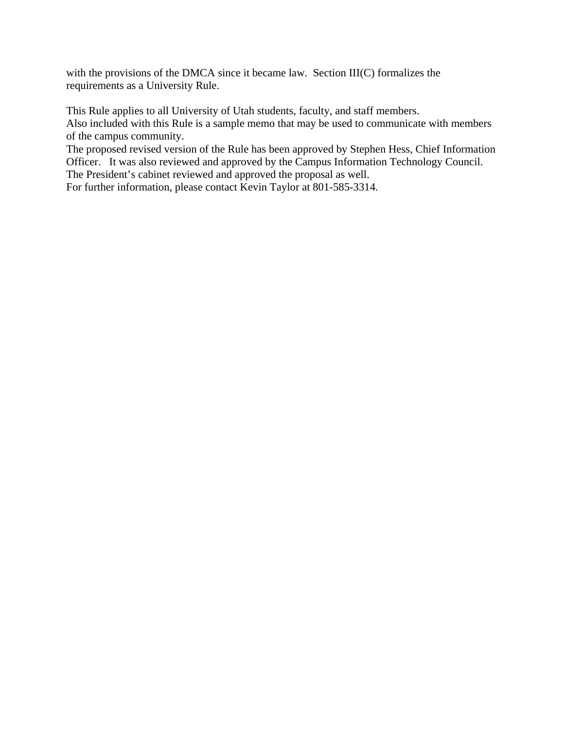with the provisions of the DMCA since it became law. Section III(C) formalizes the requirements as a University Rule.

This Rule applies to all University of Utah students, faculty, and staff members. Also included with this Rule is a sample memo that may be used to communicate with members of the campus community.

The proposed revised version of the Rule has been approved by Stephen Hess, Chief Information Officer. It was also reviewed and approved by the Campus Information Technology Council. The President's cabinet reviewed and approved the proposal as well.

For further information, please contact Kevin Taylor at 801-585-3314.